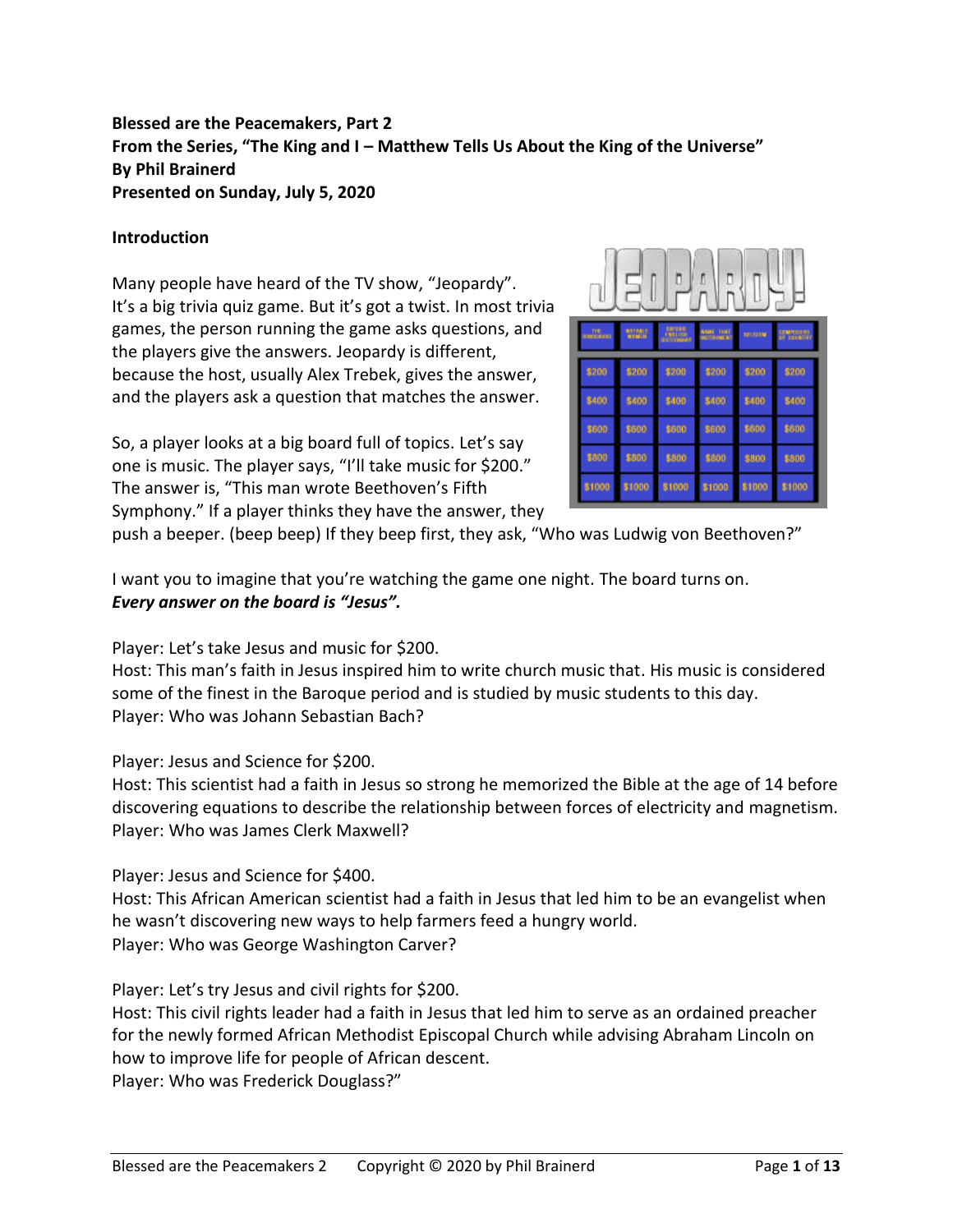# **Blessed are the Peacemakers, Part 2 From the Series, "The King and I – Matthew Tells Us About the King of the Universe" By Phil Brainerd Presented on Sunday, July 5, 2020**

## **Introduction**

Many people have heard of the TV show, "Jeopardy". It's a big trivia quiz game. But it's got a twist. In most trivia games, the person running the game asks questions, and the players give the answers. Jeopardy is different, because the host, usually Alex Trebek, gives the answer, and the players ask a question that matches the answer.

So, a player looks at a big board full of topics. Let's say one is music. The player says, "I'll take music for \$200." The answer is, "This man wrote Beethoven's Fifth Symphony." If a player thinks they have the answer, they



push a beeper. (beep beep) If they beep first, they ask, "Who was Ludwig von Beethoven?"

I want you to imagine that you're watching the game one night. The board turns on. *Every answer on the board is "Jesus".*

Player: Let's take Jesus and music for \$200.

Host: This man's faith in Jesus inspired him to write church music that. His music is considered some of the finest in the Baroque period and is studied by music students to this day. Player: Who was Johann Sebastian Bach?

Player: Jesus and Science for \$200.

Host: This scientist had a faith in Jesus so strong he memorized the Bible at the age of 14 before discovering equations to describe the relationship between forces of electricity and magnetism. Player: Who was James Clerk Maxwell?

Player: Jesus and Science for \$400.

Host: This African American scientist had a faith in Jesus that led him to be an evangelist when he wasn't discovering new ways to help farmers feed a hungry world. Player: Who was George Washington Carver?

Player: Let's try Jesus and civil rights for \$200.

Host: This civil rights leader had a faith in Jesus that led him to serve as an ordained preacher for the newly formed African Methodist Episcopal Church while advising Abraham Lincoln on how to improve life for people of African descent. Player: Who was Frederick Douglass?"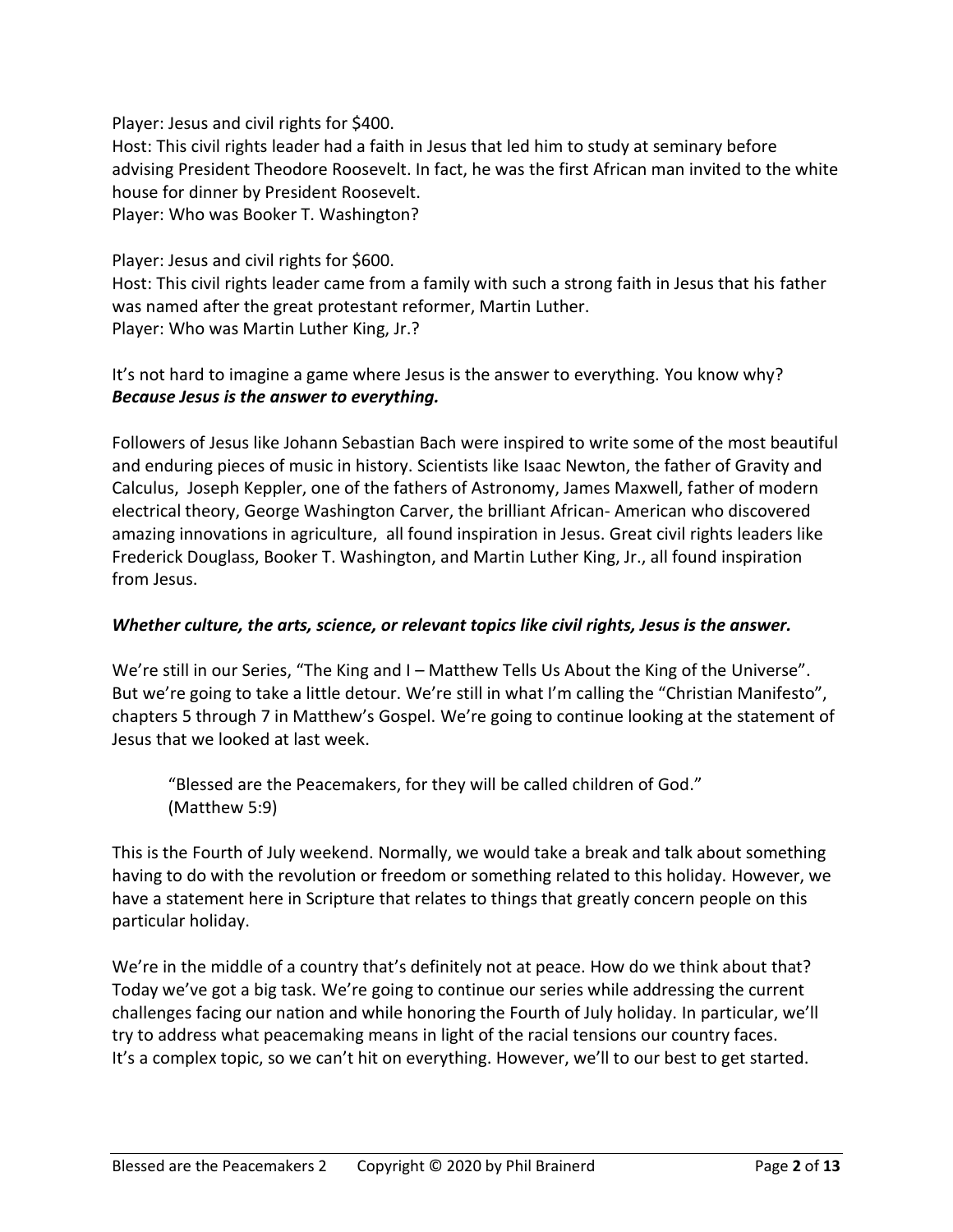## Player: Jesus and civil rights for \$400.

Host: This civil rights leader had a faith in Jesus that led him to study at seminary before advising President Theodore Roosevelt. In fact, he was the first African man invited to the white house for dinner by President Roosevelt. Player: Who was Booker T. Washington?

## Player: Jesus and civil rights for \$600.

Host: This civil rights leader came from a family with such a strong faith in Jesus that his father was named after the great protestant reformer, Martin Luther. Player: Who was Martin Luther King, Jr.?

# It's not hard to imagine a game where Jesus is the answer to everything. You know why? *Because Jesus is the answer to everything.*

Followers of Jesus like Johann Sebastian Bach were inspired to write some of the most beautiful and enduring pieces of music in history. Scientists like Isaac Newton, the father of Gravity and Calculus, Joseph Keppler, one of the fathers of Astronomy, James Maxwell, father of modern electrical theory, George Washington Carver, the brilliant African- American who discovered amazing innovations in agriculture, all found inspiration in Jesus. Great civil rights leaders like Frederick Douglass, Booker T. Washington, and Martin Luther King, Jr., all found inspiration from Jesus.

## *Whether culture, the arts, science, or relevant topics like civil rights, Jesus is the answer.*

We're still in our Series, "The King and I – Matthew Tells Us About the King of the Universe". But we're going to take a little detour. We're still in what I'm calling the "Christian Manifesto", chapters 5 through 7 in Matthew's Gospel. We're going to continue looking at the statement of Jesus that we looked at last week.

"Blessed are the Peacemakers, for they will be called children of God." (Matthew 5:9)

This is the Fourth of July weekend. Normally, we would take a break and talk about something having to do with the revolution or freedom or something related to this holiday. However, we have a statement here in Scripture that relates to things that greatly concern people on this particular holiday.

We're in the middle of a country that's definitely not at peace. How do we think about that? Today we've got a big task. We're going to continue our series while addressing the current challenges facing our nation and while honoring the Fourth of July holiday. In particular, we'll try to address what peacemaking means in light of the racial tensions our country faces. It's a complex topic, so we can't hit on everything. However, we'll to our best to get started.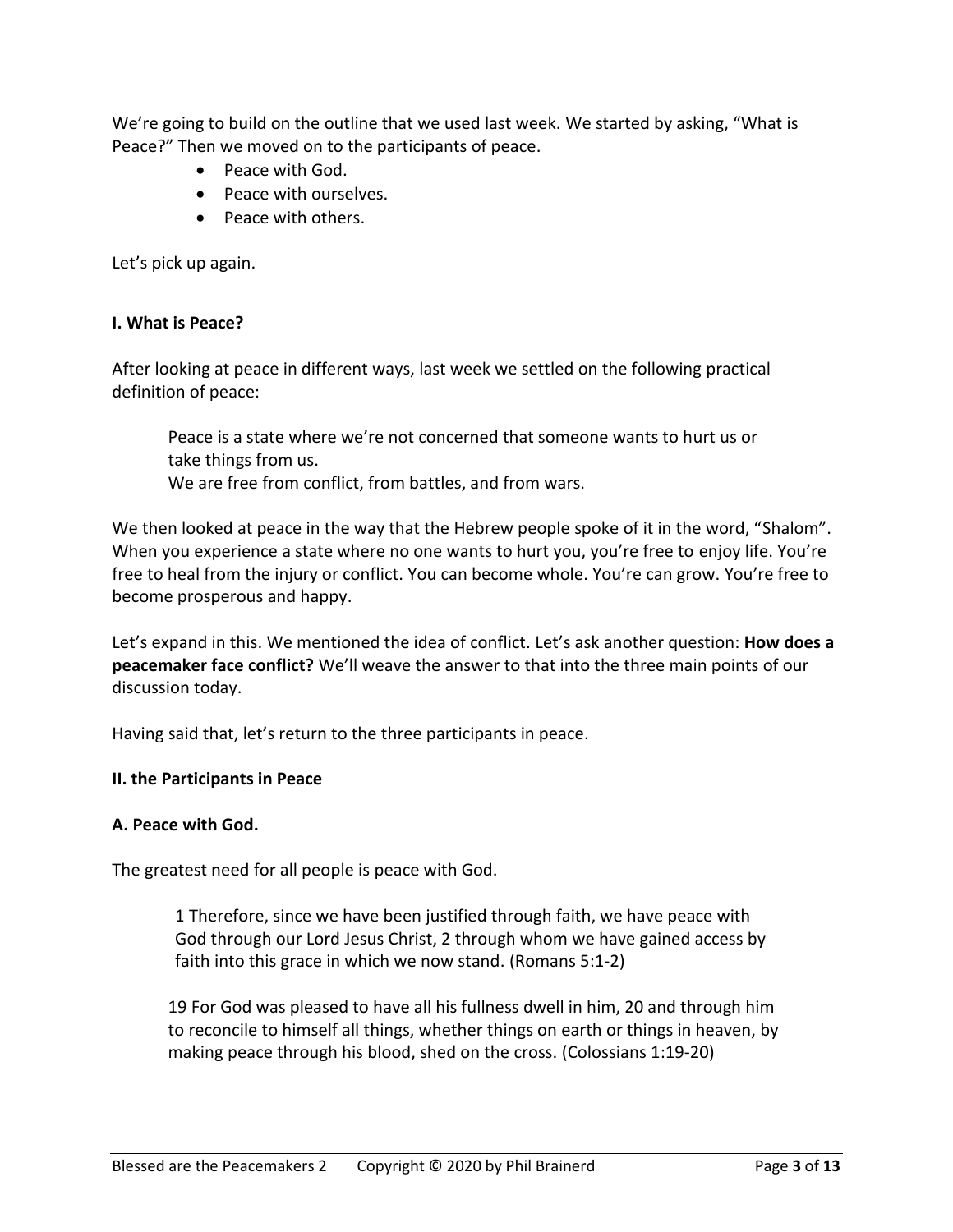We're going to build on the outline that we used last week. We started by asking, "What is Peace?" Then we moved on to the participants of peace.

- Peace with God.
- Peace with ourselves.
- Peace with others.

Let's pick up again.

## **I. What is Peace?**

After looking at peace in different ways, last week we settled on the following practical definition of peace:

Peace is a state where we're not concerned that someone wants to hurt us or take things from us.

We are free from conflict, from battles, and from wars.

We then looked at peace in the way that the Hebrew people spoke of it in the word, "Shalom". When you experience a state where no one wants to hurt you, you're free to enjoy life. You're free to heal from the injury or conflict. You can become whole. You're can grow. You're free to become prosperous and happy.

Let's expand in this. We mentioned the idea of conflict. Let's ask another question: **How does a peacemaker face conflict?** We'll weave the answer to that into the three main points of our discussion today.

Having said that, let's return to the three participants in peace.

#### **II. the Participants in Peace**

#### **A. Peace with God.**

The greatest need for all people is peace with God.

1 Therefore, since we have been justified through faith, we have peace with God through our Lord Jesus Christ, 2 through whom we have gained access by faith into this grace in which we now stand. (Romans 5:1-2)

19 For God was pleased to have all his fullness dwell in him, 20 and through him to reconcile to himself all things, whether things on earth or things in heaven, by making peace through his blood, shed on the cross. (Colossians 1:19-20)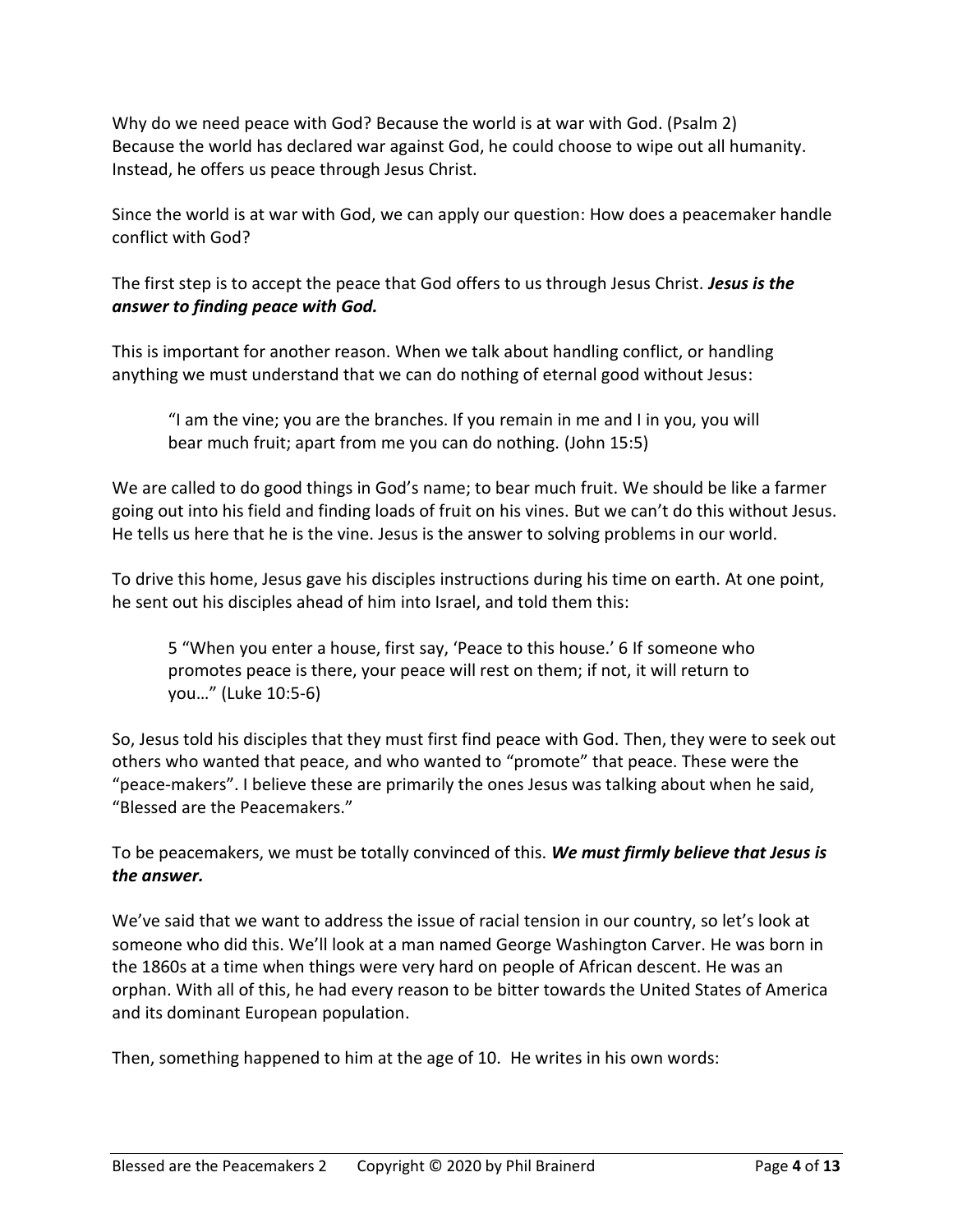Why do we need peace with God? Because the world is at war with God. (Psalm 2) Because the world has declared war against God, he could choose to wipe out all humanity. Instead, he offers us peace through Jesus Christ.

Since the world is at war with God, we can apply our question: How does a peacemaker handle conflict with God?

The first step is to accept the peace that God offers to us through Jesus Christ. *Jesus is the answer to finding peace with God.*

This is important for another reason. When we talk about handling conflict, or handling anything we must understand that we can do nothing of eternal good without Jesus:

"I am the vine; you are the branches. If you remain in me and I in you, you will bear much fruit; apart from me you can do nothing. (John 15:5)

We are called to do good things in God's name; to bear much fruit. We should be like a farmer going out into his field and finding loads of fruit on his vines. But we can't do this without Jesus. He tells us here that he is the vine. Jesus is the answer to solving problems in our world.

To drive this home, Jesus gave his disciples instructions during his time on earth. At one point, he sent out his disciples ahead of him into Israel, and told them this:

5 "When you enter a house, first say, 'Peace to this house.' 6 If someone who promotes peace is there, your peace will rest on them; if not, it will return to you…" (Luke 10:5-6)

So, Jesus told his disciples that they must first find peace with God. Then, they were to seek out others who wanted that peace, and who wanted to "promote" that peace. These were the "peace-makers". I believe these are primarily the ones Jesus was talking about when he said, "Blessed are the Peacemakers."

To be peacemakers, we must be totally convinced of this. *We must firmly believe that Jesus is the answer.*

We've said that we want to address the issue of racial tension in our country, so let's look at someone who did this. We'll look at a man named George Washington Carver. He was born in the 1860s at a time when things were very hard on people of African descent. He was an orphan. With all of this, he had every reason to be bitter towards the United States of America and its dominant European population.

Then, something happened to him at the age of 10. He writes in his own words: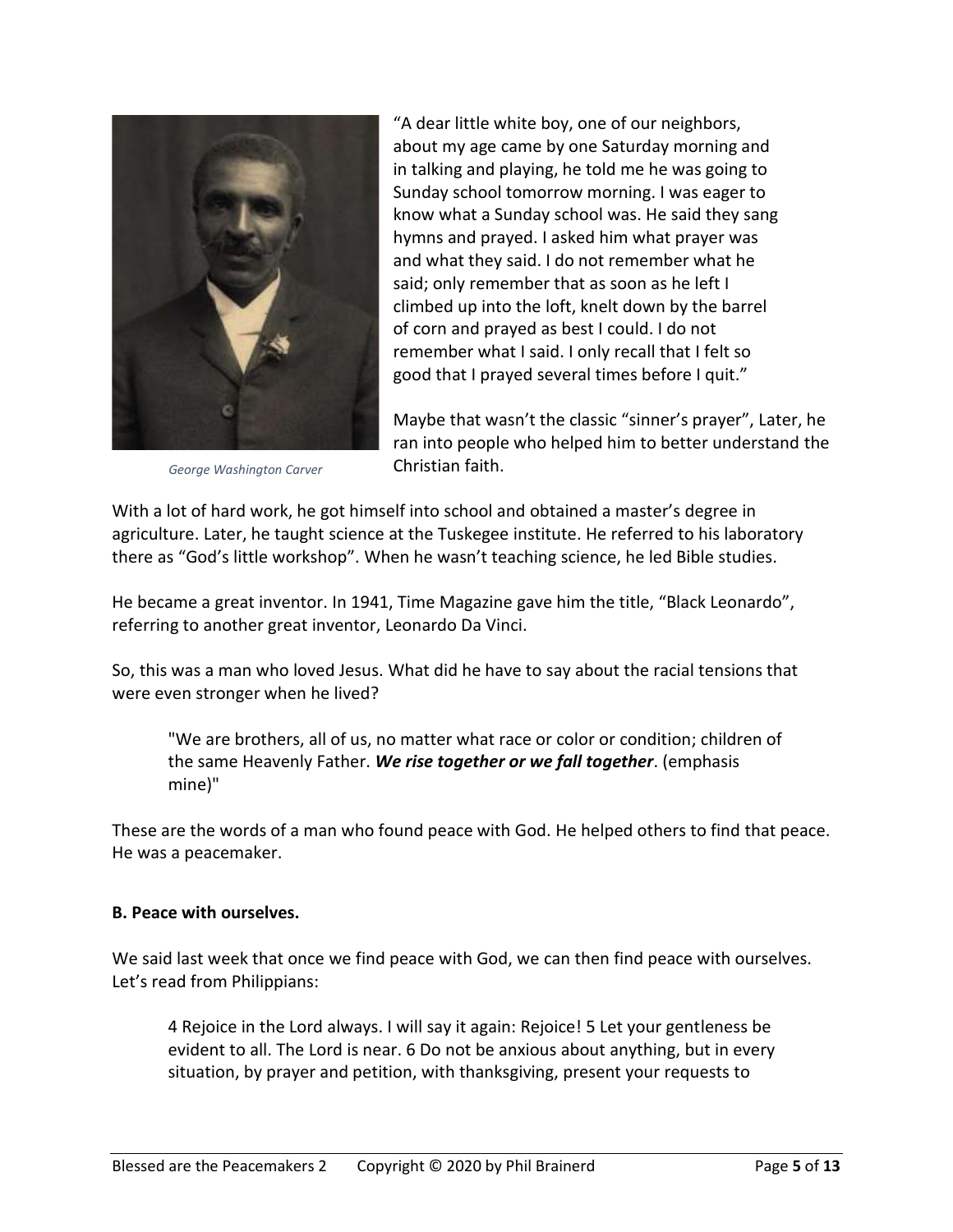

*George Washington Carver*

"A dear little white boy, one of our neighbors, about my age came by one Saturday morning and in talking and playing, he told me he was going to Sunday school tomorrow morning. I was eager to know what a Sunday school was. He said they sang hymns and prayed. I asked him what prayer was and what they said. I do not remember what he said; only remember that as soon as he left I climbed up into the loft, knelt down by the barrel of corn and prayed as best I could. I do not remember what I said. I only recall that I felt so good that I prayed several times before I quit."

Maybe that wasn't the classic "sinner's prayer", Later, he ran into people who helped him to better understand the Christian faith.

With a lot of hard work, he got himself into school and obtained a master's degree in agriculture. Later, he taught science at the Tuskegee institute. He referred to his laboratory there as "God's little workshop". When he wasn't teaching science, he led Bible studies.

He became a great inventor. In 1941, Time Magazine gave him the title, "Black Leonardo", referring to another great inventor, Leonardo Da Vinci.

So, this was a man who loved Jesus. What did he have to say about the racial tensions that were even stronger when he lived?

"We are brothers, all of us, no matter what race or color or condition; children of the same Heavenly Father. *We rise together or we fall together*. (emphasis mine)"

These are the words of a man who found peace with God. He helped others to find that peace. He was a peacemaker.

#### **B. Peace with ourselves.**

We said last week that once we find peace with God, we can then find peace with ourselves. Let's read from Philippians:

4 Rejoice in the Lord always. I will say it again: Rejoice! 5 Let your gentleness be evident to all. The Lord is near. 6 Do not be anxious about anything, but in every situation, by prayer and petition, with thanksgiving, present your requests to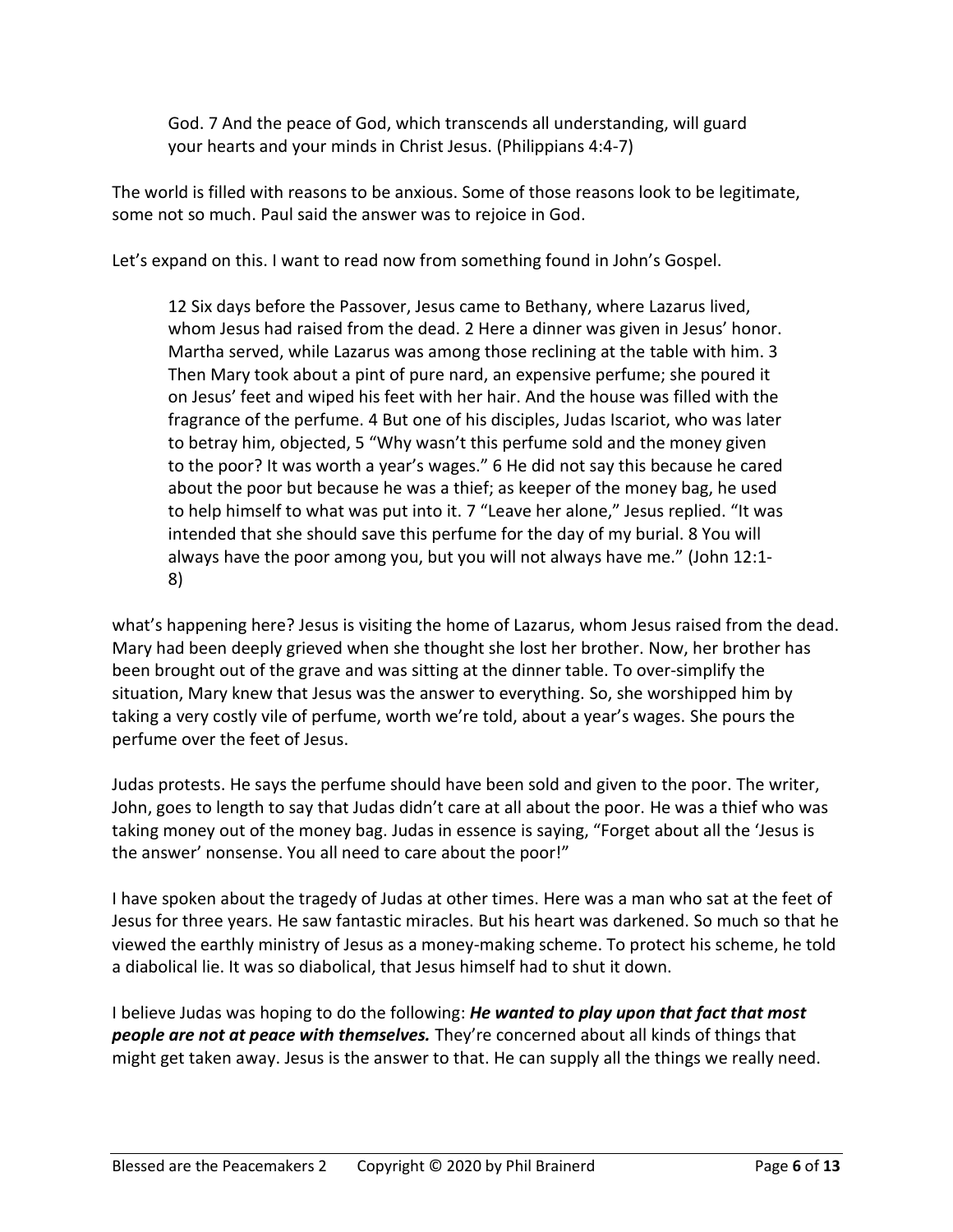God. 7 And the peace of God, which transcends all understanding, will guard your hearts and your minds in Christ Jesus. (Philippians 4:4-7)

The world is filled with reasons to be anxious. Some of those reasons look to be legitimate, some not so much. Paul said the answer was to rejoice in God.

Let's expand on this. I want to read now from something found in John's Gospel.

12 Six days before the Passover, Jesus came to Bethany, where Lazarus lived, whom Jesus had raised from the dead. 2 Here a dinner was given in Jesus' honor. Martha served, while Lazarus was among those reclining at the table with him. 3 Then Mary took about a pint of pure nard, an expensive perfume; she poured it on Jesus' feet and wiped his feet with her hair. And the house was filled with the fragrance of the perfume. 4 But one of his disciples, Judas Iscariot, who was later to betray him, objected, 5 "Why wasn't this perfume sold and the money given to the poor? It was worth a year's wages." 6 He did not say this because he cared about the poor but because he was a thief; as keeper of the money bag, he used to help himself to what was put into it. 7 "Leave her alone," Jesus replied. "It was intended that she should save this perfume for the day of my burial. 8 You will always have the poor among you, but you will not always have me." (John 12:1- 8)

what's happening here? Jesus is visiting the home of Lazarus, whom Jesus raised from the dead. Mary had been deeply grieved when she thought she lost her brother. Now, her brother has been brought out of the grave and was sitting at the dinner table. To over-simplify the situation, Mary knew that Jesus was the answer to everything. So, she worshipped him by taking a very costly vile of perfume, worth we're told, about a year's wages. She pours the perfume over the feet of Jesus.

Judas protests. He says the perfume should have been sold and given to the poor. The writer, John, goes to length to say that Judas didn't care at all about the poor. He was a thief who was taking money out of the money bag. Judas in essence is saying, "Forget about all the 'Jesus is the answer' nonsense. You all need to care about the poor!"

I have spoken about the tragedy of Judas at other times. Here was a man who sat at the feet of Jesus for three years. He saw fantastic miracles. But his heart was darkened. So much so that he viewed the earthly ministry of Jesus as a money-making scheme. To protect his scheme, he told a diabolical lie. It was so diabolical, that Jesus himself had to shut it down.

I believe Judas was hoping to do the following: *He wanted to play upon that fact that most people are not at peace with themselves.* They're concerned about all kinds of things that might get taken away. Jesus is the answer to that. He can supply all the things we really need.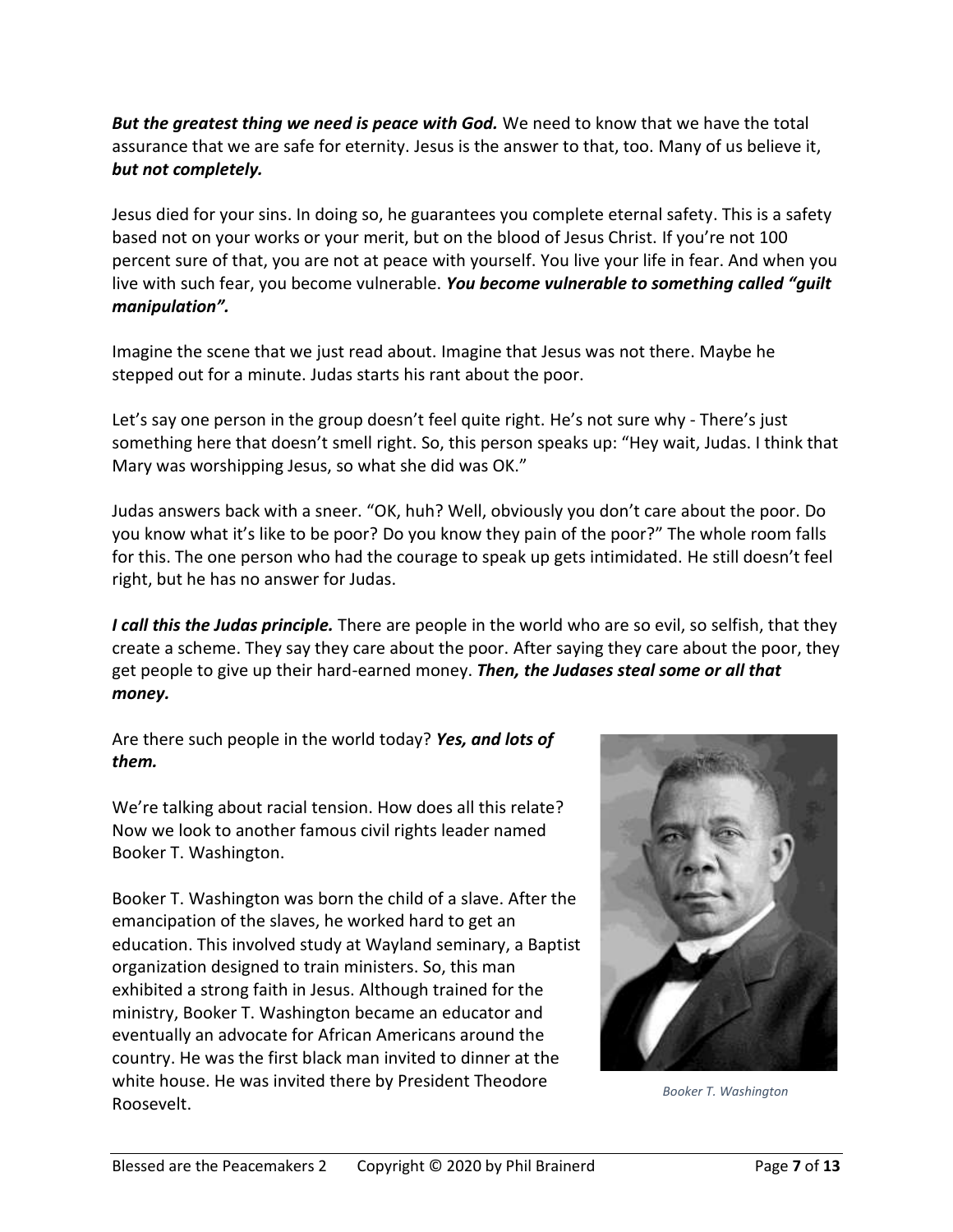*But the greatest thing we need is peace with God.* We need to know that we have the total assurance that we are safe for eternity. Jesus is the answer to that, too. Many of us believe it, *but not completely.*

Jesus died for your sins. In doing so, he guarantees you complete eternal safety. This is a safety based not on your works or your merit, but on the blood of Jesus Christ. If you're not 100 percent sure of that, you are not at peace with yourself. You live your life in fear. And when you live with such fear, you become vulnerable. *You become vulnerable to something called "guilt manipulation".*

Imagine the scene that we just read about. Imagine that Jesus was not there. Maybe he stepped out for a minute. Judas starts his rant about the poor.

Let's say one person in the group doesn't feel quite right. He's not sure why - There's just something here that doesn't smell right. So, this person speaks up: "Hey wait, Judas. I think that Mary was worshipping Jesus, so what she did was OK."

Judas answers back with a sneer. "OK, huh? Well, obviously you don't care about the poor. Do you know what it's like to be poor? Do you know they pain of the poor?" The whole room falls for this. The one person who had the courage to speak up gets intimidated. He still doesn't feel right, but he has no answer for Judas.

*I call this the Judas principle.* There are people in the world who are so evil, so selfish, that they create a scheme. They say they care about the poor. After saying they care about the poor, they get people to give up their hard-earned money. *Then, the Judases steal some or all that money.*

Are there such people in the world today? *Yes, and lots of them.*

We're talking about racial tension. How does all this relate? Now we look to another famous civil rights leader named Booker T. Washington.

Booker T. Washington was born the child of a slave. After the emancipation of the slaves, he worked hard to get an education. This involved study at Wayland seminary, a Baptist organization designed to train ministers. So, this man exhibited a strong faith in Jesus. Although trained for the ministry, Booker T. Washington became an educator and eventually an advocate for African Americans around the country. He was the first black man invited to dinner at the white house. He was invited there by President Theodore Roosevelt.



*Booker T. Washington*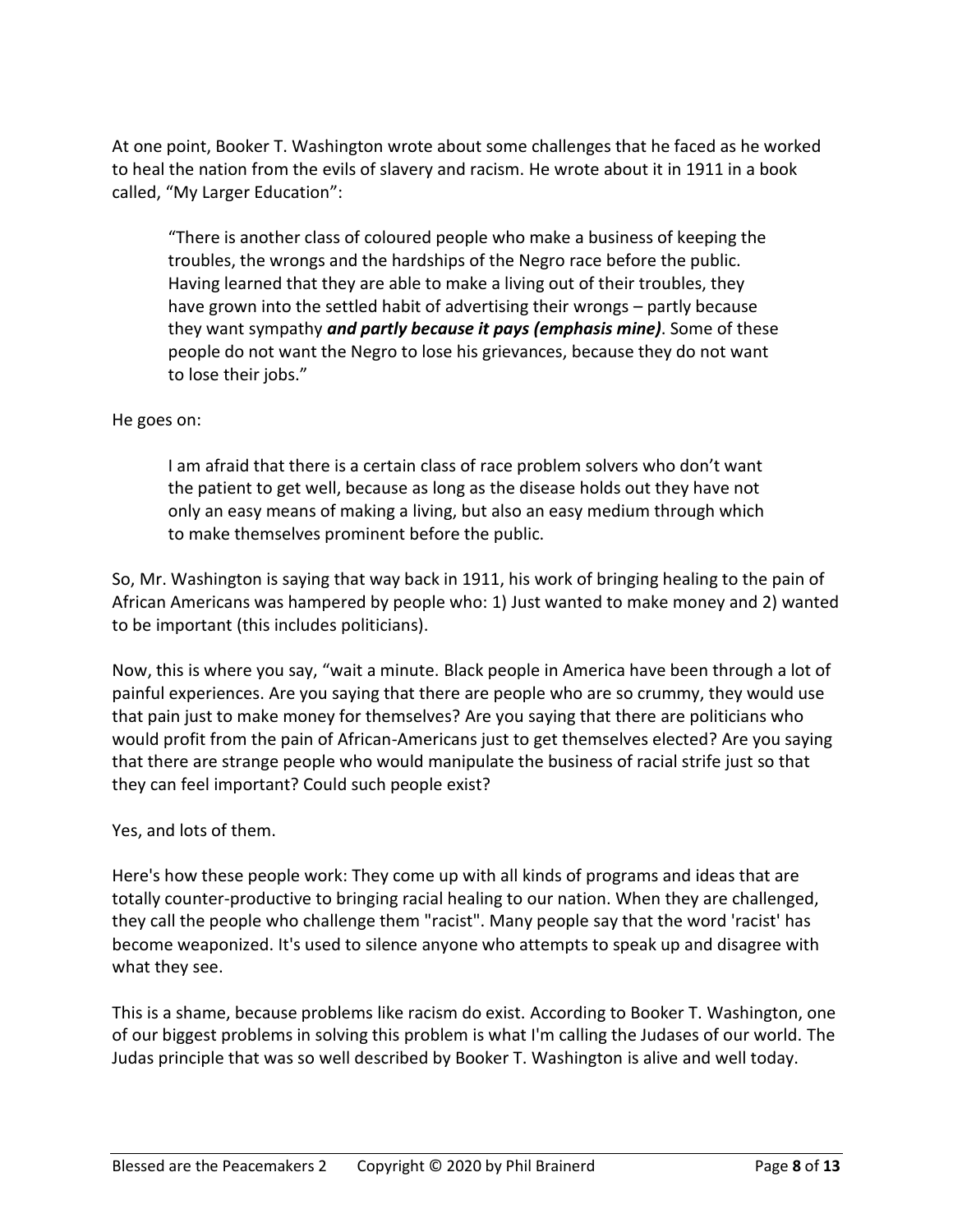At one point, Booker T. Washington wrote about some challenges that he faced as he worked to heal the nation from the evils of slavery and racism. He wrote about it in 1911 in a book called, "My Larger Education":

"There is another class of coloured people who make a business of keeping the troubles, the wrongs and the hardships of the Negro race before the public. Having learned that they are able to make a living out of their troubles, they have grown into the settled habit of advertising their wrongs – partly because they want sympathy *and partly because it pays (emphasis mine)*. Some of these people do not want the Negro to lose his grievances, because they do not want to lose their jobs."

#### He goes on:

I am afraid that there is a certain class of race problem solvers who don't want the patient to get well, because as long as the disease holds out they have not only an easy means of making a living, but also an easy medium through which to make themselves prominent before the public.

So, Mr. Washington is saying that way back in 1911, his work of bringing healing to the pain of African Americans was hampered by people who: 1) Just wanted to make money and 2) wanted to be important (this includes politicians).

Now, this is where you say, "wait a minute. Black people in America have been through a lot of painful experiences. Are you saying that there are people who are so crummy, they would use that pain just to make money for themselves? Are you saying that there are politicians who would profit from the pain of African-Americans just to get themselves elected? Are you saying that there are strange people who would manipulate the business of racial strife just so that they can feel important? Could such people exist?

#### Yes, and lots of them.

Here's how these people work: They come up with all kinds of programs and ideas that are totally counter-productive to bringing racial healing to our nation. When they are challenged, they call the people who challenge them "racist". Many people say that the word 'racist' has become weaponized. It's used to silence anyone who attempts to speak up and disagree with what they see.

This is a shame, because problems like racism do exist. According to Booker T. Washington, one of our biggest problems in solving this problem is what I'm calling the Judases of our world. The Judas principle that was so well described by Booker T. Washington is alive and well today.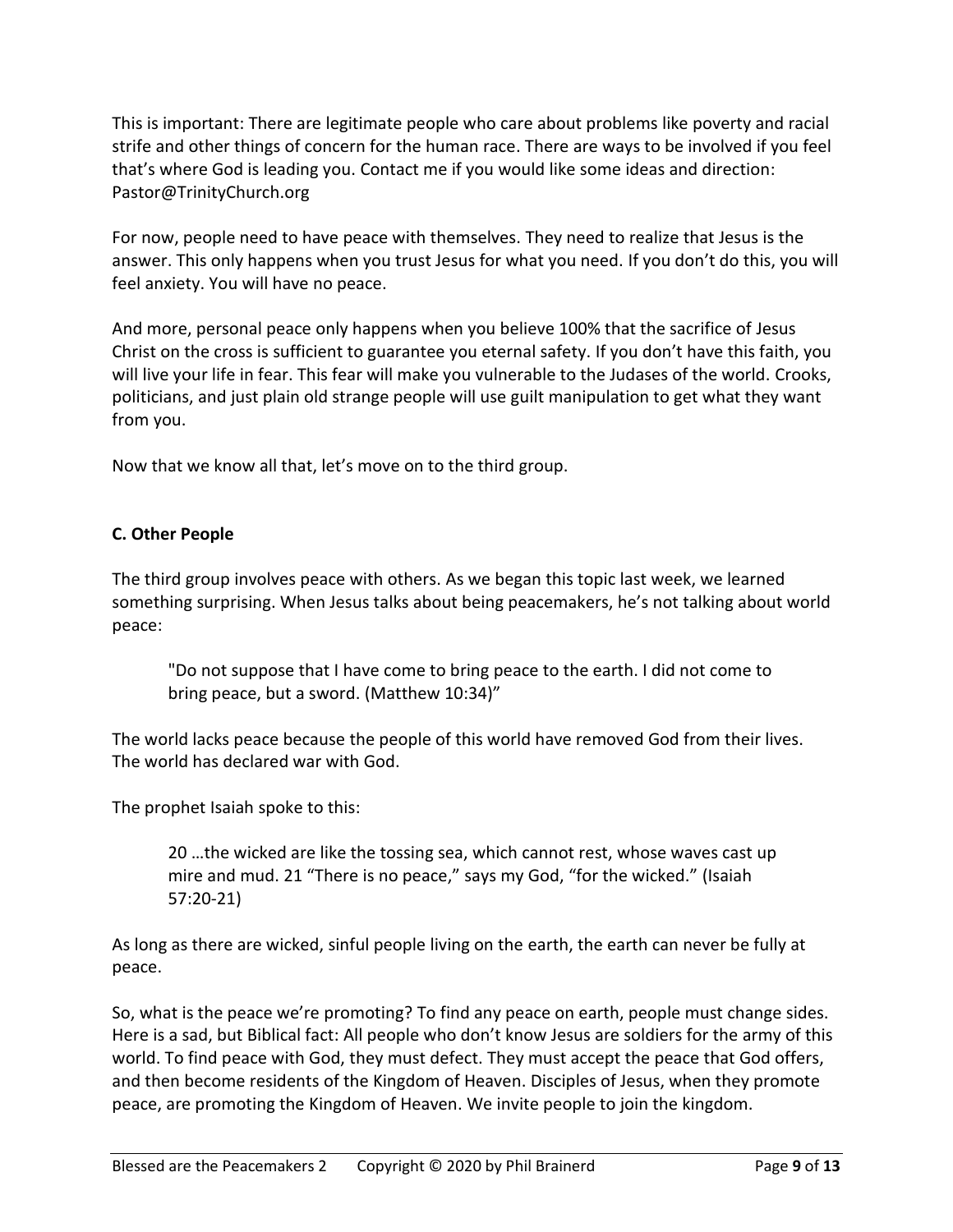This is important: There are legitimate people who care about problems like poverty and racial strife and other things of concern for the human race. There are ways to be involved if you feel that's where God is leading you. Contact me if you would like some ideas and direction: Pastor@TrinityChurch.org

For now, people need to have peace with themselves. They need to realize that Jesus is the answer. This only happens when you trust Jesus for what you need. If you don't do this, you will feel anxiety. You will have no peace.

And more, personal peace only happens when you believe 100% that the sacrifice of Jesus Christ on the cross is sufficient to guarantee you eternal safety. If you don't have this faith, you will live your life in fear. This fear will make you vulnerable to the Judases of the world. Crooks, politicians, and just plain old strange people will use guilt manipulation to get what they want from you.

Now that we know all that, let's move on to the third group.

# **C. Other People**

The third group involves peace with others. As we began this topic last week, we learned something surprising. When Jesus talks about being peacemakers, he's not talking about world peace:

"Do not suppose that I have come to bring peace to the earth. I did not come to bring peace, but a sword. (Matthew 10:34)"

The world lacks peace because the people of this world have removed God from their lives. The world has declared war with God.

The prophet Isaiah spoke to this:

20 …the wicked are like the tossing sea, which cannot rest, whose waves cast up mire and mud. 21 "There is no peace," says my God, "for the wicked." (Isaiah 57:20-21)

As long as there are wicked, sinful people living on the earth, the earth can never be fully at peace.

So, what is the peace we're promoting? To find any peace on earth, people must change sides. Here is a sad, but Biblical fact: All people who don't know Jesus are soldiers for the army of this world. To find peace with God, they must defect. They must accept the peace that God offers, and then become residents of the Kingdom of Heaven. Disciples of Jesus, when they promote peace, are promoting the Kingdom of Heaven. We invite people to join the kingdom.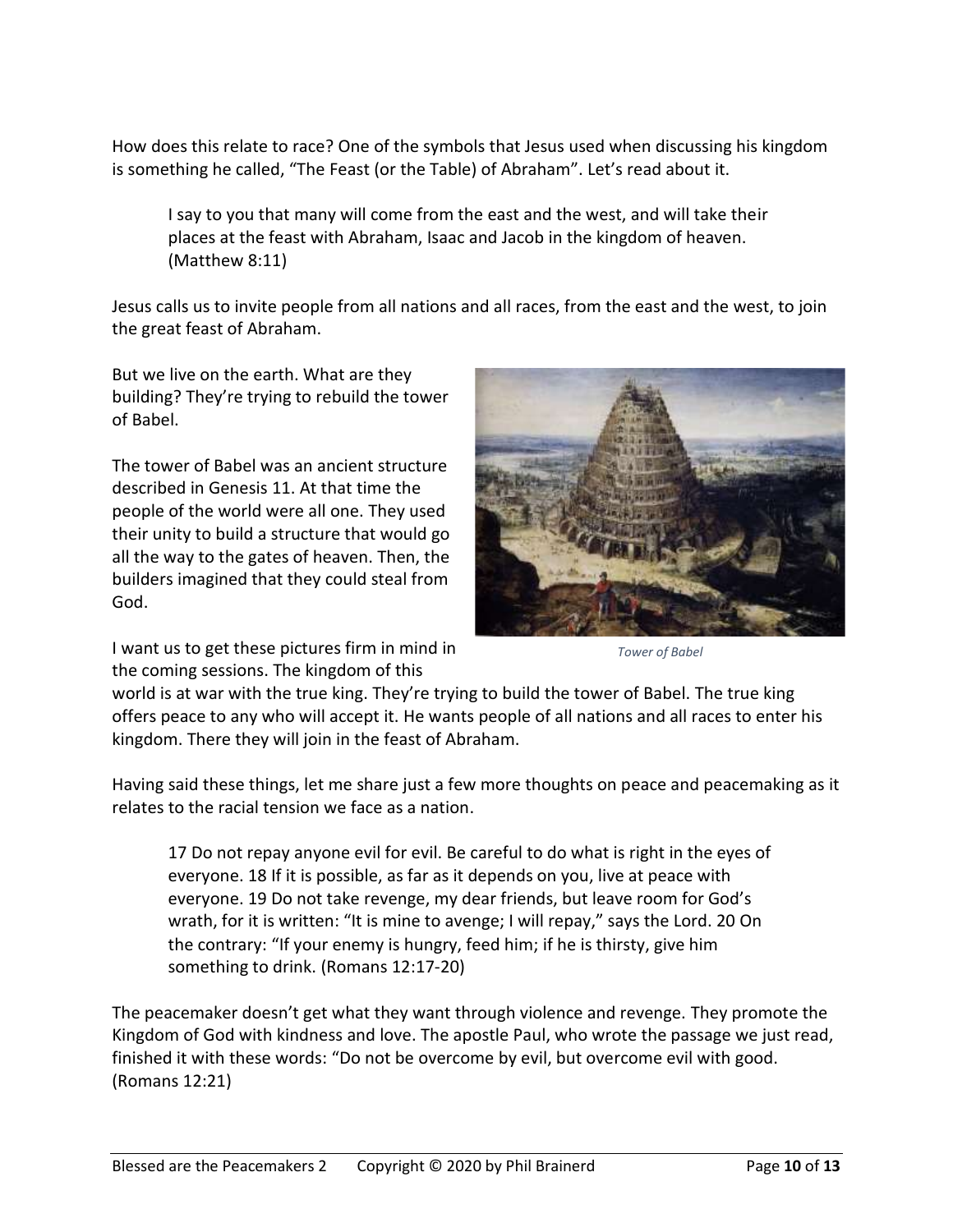How does this relate to race? One of the symbols that Jesus used when discussing his kingdom is something he called, "The Feast (or the Table) of Abraham". Let's read about it.

I say to you that many will come from the east and the west, and will take their places at the feast with Abraham, Isaac and Jacob in the kingdom of heaven. (Matthew 8:11)

Jesus calls us to invite people from all nations and all races, from the east and the west, to join the great feast of Abraham.

But we live on the earth. What are they building? They're trying to rebuild the tower of Babel.

The tower of Babel was an ancient structure described in Genesis 11. At that time the people of the world were all one. They used their unity to build a structure that would go all the way to the gates of heaven. Then, the builders imagined that they could steal from God.

I want us to get these pictures firm in mind in the coming sessions. The kingdom of this



*Tower of Babel*

world is at war with the true king. They're trying to build the tower of Babel. The true king offers peace to any who will accept it. He wants people of all nations and all races to enter his kingdom. There they will join in the feast of Abraham.

Having said these things, let me share just a few more thoughts on peace and peacemaking as it relates to the racial tension we face as a nation.

17 Do not repay anyone evil for evil. Be careful to do what is right in the eyes of everyone. 18 If it is possible, as far as it depends on you, live at peace with everyone. 19 Do not take revenge, my dear friends, but leave room for God's wrath, for it is written: "It is mine to avenge; I will repay," says the Lord. 20 On the contrary: "If your enemy is hungry, feed him; if he is thirsty, give him something to drink. (Romans 12:17-20)

The peacemaker doesn't get what they want through violence and revenge. They promote the Kingdom of God with kindness and love. The apostle Paul, who wrote the passage we just read, finished it with these words: "Do not be overcome by evil, but overcome evil with good. (Romans 12:21)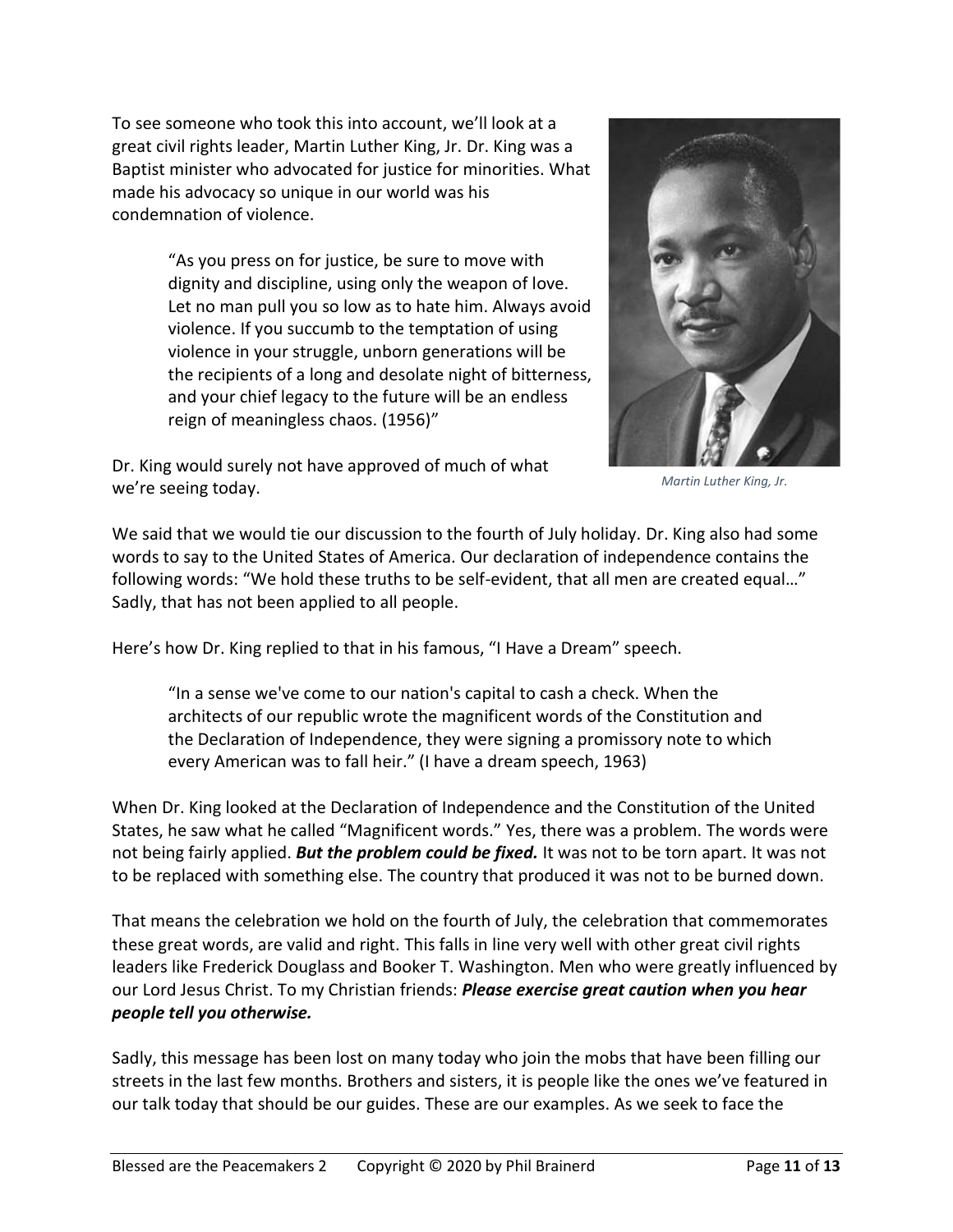To see someone who took this into account, we'll look at a great civil rights leader, Martin Luther King, Jr. Dr. King was a Baptist minister who advocated for justice for minorities. What made his advocacy so unique in our world was his condemnation of violence.

> "As you press on for justice, be sure to move with dignity and discipline, using only the weapon of love. Let no man pull you so low as to hate him. Always avoid violence. If you succumb to the temptation of using violence in your struggle, unborn generations will be the recipients of a long and desolate night of bitterness, and your chief legacy to the future will be an endless reign of meaningless chaos. (1956)"



Dr. King would surely not have approved of much of what we're seeing today.

*Martin Luther King, Jr.*

We said that we would tie our discussion to the fourth of July holiday. Dr. King also had some words to say to the United States of America. Our declaration of independence contains the following words: "We hold these truths to be self-evident, that all men are created equal…" Sadly, that has not been applied to all people.

Here's how Dr. King replied to that in his famous, "I Have a Dream" speech.

"In a sense we've come to our nation's capital to cash a check. When the architects of our republic wrote the magnificent words of the Constitution and the Declaration of Independence, they were signing a promissory note to which every American was to fall heir." (I have a dream speech, 1963)

When Dr. King looked at the Declaration of Independence and the Constitution of the United States, he saw what he called "Magnificent words." Yes, there was a problem. The words were not being fairly applied. *But the problem could be fixed.* It was not to be torn apart. It was not to be replaced with something else. The country that produced it was not to be burned down.

That means the celebration we hold on the fourth of July, the celebration that commemorates these great words, are valid and right. This falls in line very well with other great civil rights leaders like Frederick Douglass and Booker T. Washington. Men who were greatly influenced by our Lord Jesus Christ. To my Christian friends: *Please exercise great caution when you hear people tell you otherwise.*

Sadly, this message has been lost on many today who join the mobs that have been filling our streets in the last few months. Brothers and sisters, it is people like the ones we've featured in our talk today that should be our guides. These are our examples. As we seek to face the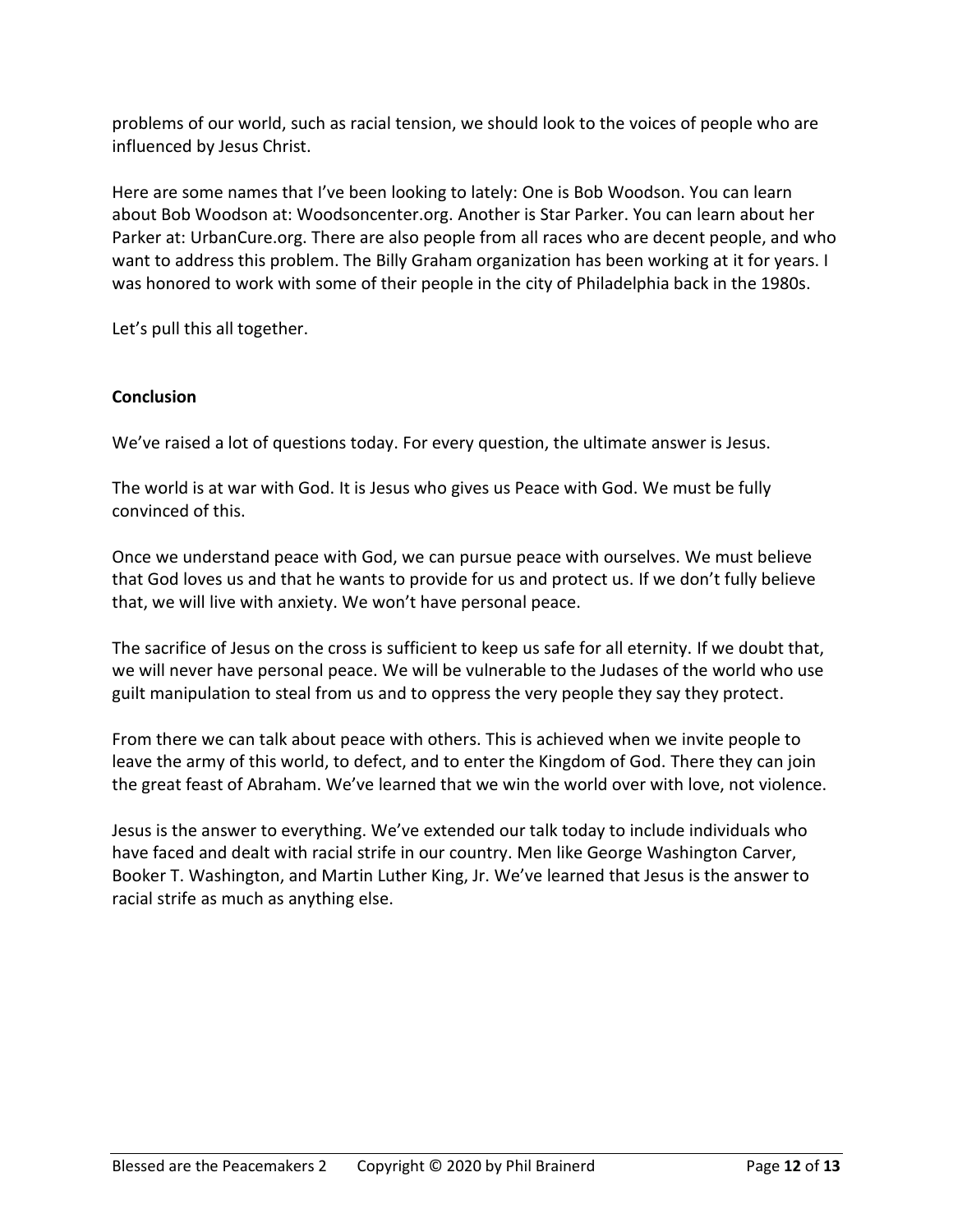problems of our world, such as racial tension, we should look to the voices of people who are influenced by Jesus Christ.

Here are some names that I've been looking to lately: One is Bob Woodson. You can learn about Bob Woodson at: Woodsoncenter.org. Another is Star Parker. You can learn about her Parker at: UrbanCure.org. There are also people from all races who are decent people, and who want to address this problem. The Billy Graham organization has been working at it for years. I was honored to work with some of their people in the city of Philadelphia back in the 1980s.

Let's pull this all together.

## **Conclusion**

We've raised a lot of questions today. For every question, the ultimate answer is Jesus.

The world is at war with God. It is Jesus who gives us Peace with God. We must be fully convinced of this.

Once we understand peace with God, we can pursue peace with ourselves. We must believe that God loves us and that he wants to provide for us and protect us. If we don't fully believe that, we will live with anxiety. We won't have personal peace.

The sacrifice of Jesus on the cross is sufficient to keep us safe for all eternity. If we doubt that, we will never have personal peace. We will be vulnerable to the Judases of the world who use guilt manipulation to steal from us and to oppress the very people they say they protect.

From there we can talk about peace with others. This is achieved when we invite people to leave the army of this world, to defect, and to enter the Kingdom of God. There they can join the great feast of Abraham. We've learned that we win the world over with love, not violence.

Jesus is the answer to everything. We've extended our talk today to include individuals who have faced and dealt with racial strife in our country. Men like George Washington Carver, Booker T. Washington, and Martin Luther King, Jr. We've learned that Jesus is the answer to racial strife as much as anything else.